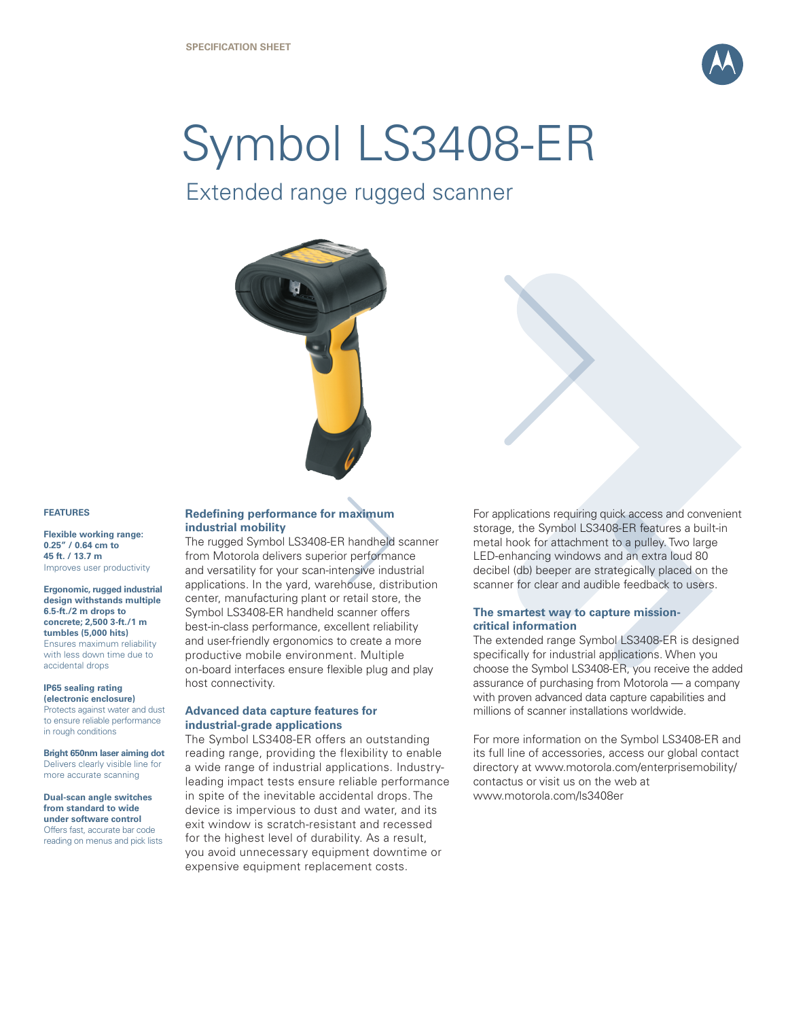

# Symbol LS3408-ER

Extended range rugged scanner



### **FEATURES**

**Flexible working range: 0.25" / 0.64 cm to 45 ft. / 13.7 m** Improves user productivity

**Ergonomic, rugged industrial design withstands multiple 6.5-ft./2 m drops to concrete; 2,500 3-ft./1 m tumbles (5,000 hits)** Ensures maximum reliability with less down time due to accidental drops

# **IP65 sealing rating**

**(electronic enclosure)**  Protects against water and dust to ensure reliable performance in rough conditions

**Bright 650nm laser aiming dot**  Delivers clearly visible line for more accurate scanning

**Dual-scan angle switches from standard to wide under software control** Offers fast, accurate bar code reading on menus and pick lists

# **Redefining performance for maximum industrial mobility**

The rugged Symbol LS3408-ER handheld scanner from Motorola delivers superior performance and versatility for your scan-intensive industrial applications. In the yard, warehouse, distribution center, manufacturing plant or retail store, the Symbol LS3408-ER handheld scanner offers best-in-class performance, excellent reliability and user-friendly ergonomics to create a more productive mobile environment. Multiple on-board interfaces ensure flexible plug and play host connectivity.

# **Advanced data capture features for industrial-grade applications**

The Symbol LS3408-ER offers an outstanding reading range, providing the flexibility to enable a wide range of industrial applications. Industryleading impact tests ensure reliable performance in spite of the inevitable accidental drops. The device is impervious to dust and water, and its exit window is scratch-resistant and recessed for the highest level of durability. As a result, you avoid unnecessary equipment downtime or expensive equipment replacement costs.

For applications requiring quick access and convenient storage, the Symbol LS3408-ER features a built-in metal hook for attachment to a pulley. Two large LED-enhancing windows and an extra loud 80 decibel (db) beeper are strategically placed on the scanner for clear and audible feedback to users.

# **The smartest way to capture missioncritical information**

The extended range Symbol LS3408-ER is designed specifically for industrial applications. When you choose the Symbol LS3408-ER, you receive the added assurance of purchasing from Motorola — a company with proven advanced data capture capabilities and millions of scanner installations worldwide.

For more information on the Symbol LS3408-ER and its full line of accessories, access our global contact directory at www.motorola.com/enterprisemobility/ contactus or visit us on the web at www.motorola.com/ls3408er